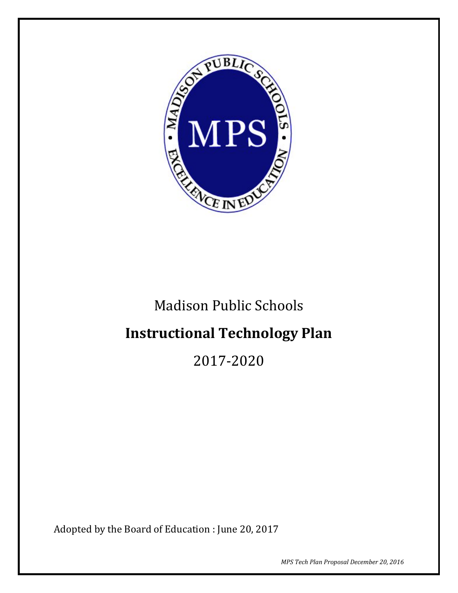

# Madison Public Schools

# **Instructional Technology Plan**

2017-2020

Adopted by the Board of Education : June 20, 2017

*MPS Tech Plan Proposal December 20, 2016*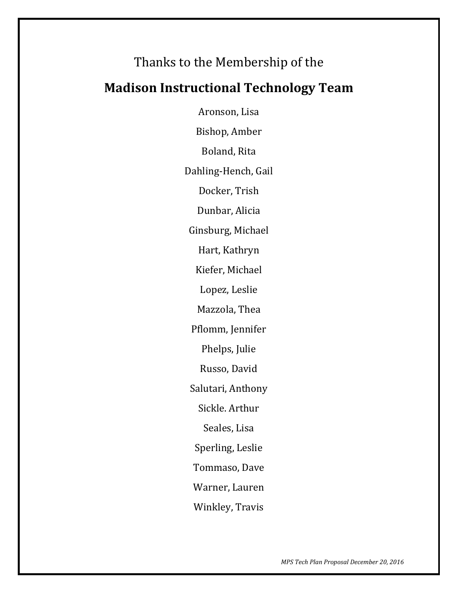# Thanks to the Membership of the

# **Madison Instructional Technology Team**

Aronson, Lisa Bishop, Amber Boland, Rita Dahling-Hench, Gail Docker, Trish Dunbar, Alicia Ginsburg, Michael Hart, Kathryn Kiefer, Michael Lopez, Leslie Mazzola, Thea Pflomm, Jennifer Phelps, Julie Russo, David Salutari, Anthony Sickle. Arthur Seales, Lisa Sperling, Leslie Tommaso, Dave Warner, Lauren Winkley, Travis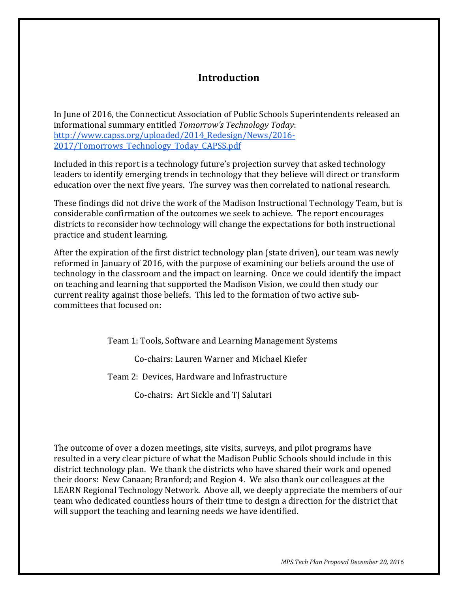# **Introduction**

In June of 2016, the Connecticut Association of Public Schools Superintendents released an informational summary entitled *Tomorrow's Technology Today*: http://www.capss.org/uploaded/2014 Redesign/News/2016-[2017/Tomorrows\\_Technology\\_Today\\_CAPSS.pdf](http://www.capss.org/uploaded/2014_Redesign/News/2016-2017/Tomorrows_Technology_Today_CAPSS.pdf)

Included in this report is a technology future's projection survey that asked technology leaders to identify emerging trends in technology that they believe will direct or transform education over the next five years. The survey was then correlated to national research.

These findings did not drive the work of the Madison Instructional Technology Team, but is considerable confirmation of the outcomes we seek to achieve. The report encourages districts to reconsider how technology will change the expectations for both instructional practice and student learning.

After the expiration of the first district technology plan (state driven), our team was newly reformed in January of 2016, with the purpose of examining our beliefs around the use of technology in the classroom and the impact on learning. Once we could identify the impact on teaching and learning that supported the Madison Vision, we could then study our current reality against those beliefs. This led to the formation of two active subcommittees that focused on:

Team 1: Tools, Software and Learning Management Systems

Co-chairs: Lauren Warner and Michael Kiefer

Team 2: Devices, Hardware and Infrastructure

Co-chairs: Art Sickle and TJ Salutari

The outcome of over a dozen meetings, site visits, surveys, and pilot programs have resulted in a very clear picture of what the Madison Public Schools should include in this district technology plan. We thank the districts who have shared their work and opened their doors: New Canaan; Branford; and Region 4. We also thank our colleagues at the LEARN Regional Technology Network. Above all, we deeply appreciate the members of our team who dedicated countless hours of their time to design a direction for the district that will support the teaching and learning needs we have identified.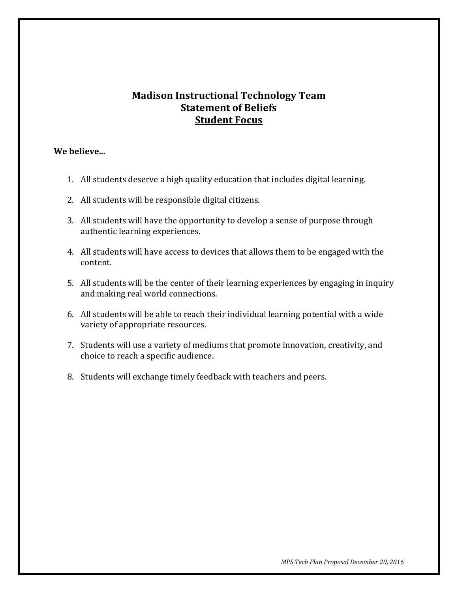## **Madison Instructional Technology Team Statement of Beliefs Student Focus**

#### **We believe...**

- 1. All students deserve a high quality education that includes digital learning.
- 2. All students will be responsible digital citizens.
- 3. All students will have the opportunity to develop a sense of purpose through authentic learning experiences.
- 4. All students will have access to devices that allows them to be engaged with the content.
- 5. All students will be the center of their learning experiences by engaging in inquiry and making real world connections.
- 6. All students will be able to reach their individual learning potential with a wide variety of appropriate resources.
- 7. Students will use a variety of mediums that promote innovation, creativity, and choice to reach a specific audience.
- 8. Students will exchange timely feedback with teachers and peers.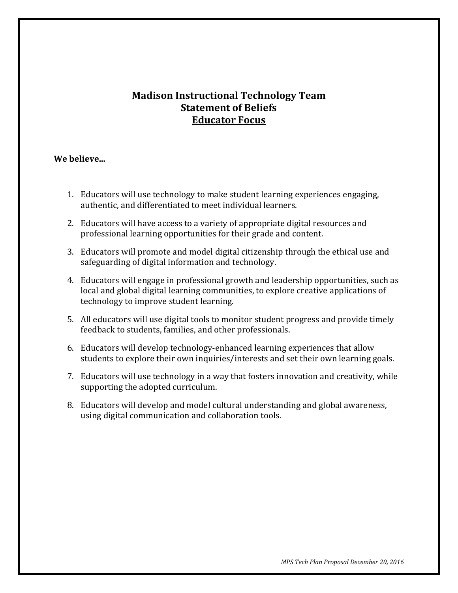# **Madison Instructional Technology Team Statement of Beliefs Educator Focus**

#### **We believe...**

- 1. Educators will use technology to make student learning experiences engaging, authentic, and differentiated to meet individual learners.
- 2. Educators will have access to a variety of appropriate digital resources and professional learning opportunities for their grade and content.
- 3. Educators will promote and model digital citizenship through the ethical use and safeguarding of digital information and technology.
- 4. Educators will engage in professional growth and leadership opportunities, such as local and global digital learning communities, to explore creative applications of technology to improve student learning.
- 5. All educators will use digital tools to monitor student progress and provide timely feedback to students, families, and other professionals.
- 6. Educators will develop technology-enhanced learning experiences that allow students to explore their own inquiries/interests and set their own learning goals.
- 7. Educators will use technology in a way that fosters innovation and creativity, while supporting the adopted curriculum.
- 8. Educators will develop and model cultural understanding and global awareness, using digital communication and collaboration tools.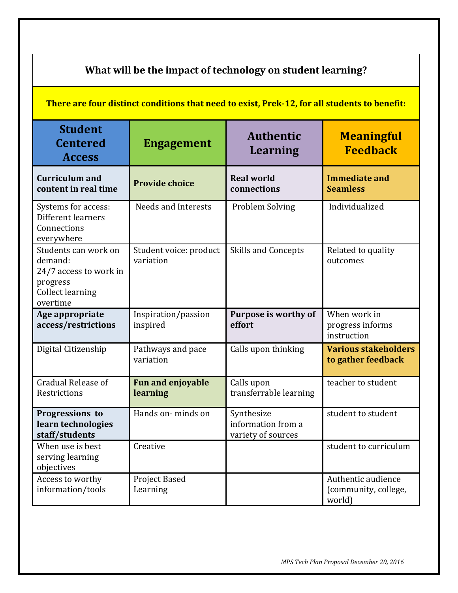| What will be the impact of technology on student learning?                                                   |                                      |                                                        |                                                      |  |  |  |  |  |  |
|--------------------------------------------------------------------------------------------------------------|--------------------------------------|--------------------------------------------------------|------------------------------------------------------|--|--|--|--|--|--|
| There are four distinct conditions that need to exist, Prek-12, for all students to benefit:                 |                                      |                                                        |                                                      |  |  |  |  |  |  |
| <b>Student</b><br><b>Centered</b><br><b>Access</b>                                                           | <b>Engagement</b>                    | <b>Authentic</b><br><b>Learning</b>                    | <b>Meaningful</b><br><b>Feedback</b>                 |  |  |  |  |  |  |
| <b>Curriculum and</b><br>content in real time                                                                | <b>Provide choice</b>                | <b>Real world</b><br>connections                       | <b>Immediate and</b><br><b>Seamless</b>              |  |  |  |  |  |  |
| Systems for access:<br>Different learners<br>Connections<br>everywhere                                       | Needs and Interests                  | <b>Problem Solving</b>                                 | Individualized                                       |  |  |  |  |  |  |
| Students can work on<br>demand:<br>24/7 access to work in<br>progress<br><b>Collect learning</b><br>overtime | Student voice: product<br>variation  | <b>Skills and Concepts</b>                             | Related to quality<br>outcomes                       |  |  |  |  |  |  |
| Age appropriate<br>access/restrictions                                                                       | Inspiration/passion<br>inspired      | <b>Purpose is worthy of</b><br>effort                  | When work in<br>progress informs<br>instruction      |  |  |  |  |  |  |
| Digital Citizenship                                                                                          | Pathways and pace<br>variation       | Calls upon thinking                                    | <b>Various stakeholders</b><br>to gather feedback    |  |  |  |  |  |  |
| Gradual Release of<br>Restrictions                                                                           | <b>Fun and enjoyable</b><br>learning | Calls upon<br>transferrable learning                   | teacher to student                                   |  |  |  |  |  |  |
| Progressions to<br>learn technologies<br>staff/students                                                      | Hands on-minds on                    | Synthesize<br>information from a<br>variety of sources | student to student                                   |  |  |  |  |  |  |
| When use is best<br>serving learning<br>objectives                                                           | Creative                             |                                                        | student to curriculum                                |  |  |  |  |  |  |
| Access to worthy<br>information/tools                                                                        | Project Based<br>Learning            |                                                        | Authentic audience<br>(community, college,<br>world) |  |  |  |  |  |  |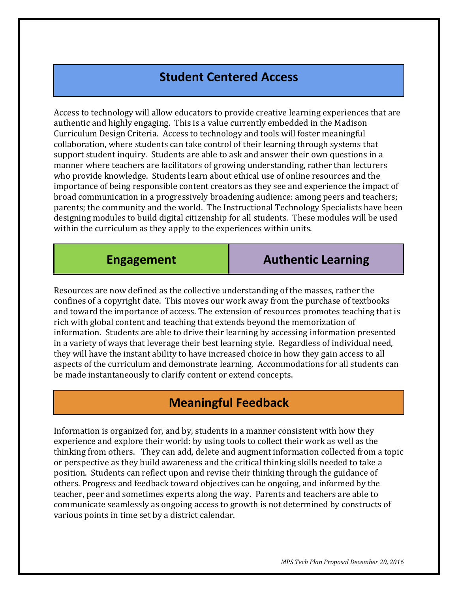# **Student Centered Access**

Access to technology will allow educators to provide creative learning experiences that are authentic and highly engaging. This is a value currently embedded in the Madison Curriculum Design Criteria. Access to technology and tools will foster meaningful collaboration, where students can take control of their learning through systems that support student inquiry. Students are able to ask and answer their own questions in a manner where teachers are facilitators of growing understanding, rather than lecturers who provide knowledge. Students learn about ethical use of online resources and the importance of being responsible content creators as they see and experience the impact of broad communication in a progressively broadening audience: among peers and teachers; parents; the community and the world. The Instructional Technology Specialists have been designing modules to build digital citizenship for all students. These modules will be used within the curriculum as they apply to the experiences within units.

**Engagement Authentic Learning**

Resources are now defined as the collective understanding of the masses, rather the confines of a copyright date. This moves our work away from the purchase of textbooks and toward the importance of access. The extension of resources promotes teaching that is rich with global content and teaching that extends beyond the memorization of information. Students are able to drive their learning by accessing information presented in a variety of ways that leverage their best learning style. Regardless of individual need, they will have the instant ability to have increased choice in how they gain access to all aspects of the curriculum and demonstrate learning. Accommodations for all students can be made instantaneously to clarify content or extend concepts.

# **Meaningful Feedback**

Information is organized for, and by, students in a manner consistent with how they experience and explore their world: by using tools to collect their work as well as the thinking from others. They can add, delete and augment information collected from a topic or perspective as they build awareness and the critical thinking skills needed to take a position. Students can reflect upon and revise their thinking through the guidance of others. Progress and feedback toward objectives can be ongoing, and informed by the teacher, peer and sometimes experts along the way. Parents and teachers are able to communicate seamlessly as ongoing access to growth is not determined by constructs of various points in time set by a district calendar.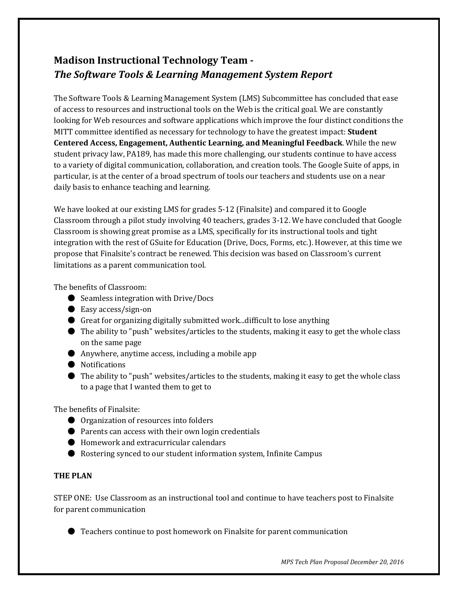# **Madison Instructional Technology Team -** *The Software Tools & Learning Management System Report*

The Software Tools & Learning Management System (LMS) Subcommittee has concluded that ease of access to resources and instructional tools on the Web is the critical goal. We are constantly looking for Web resources and software applications which improve the four distinct conditions the MITT committee identified as necessary for technology to have the greatest impact: **Student Centered Access, Engagement, Authentic Learning, and Meaningful Feedback**. While the new student privacy law, PA189, has made this more challenging, our students continue to have access to a variety of digital communication, collaboration, and creation tools. The Google Suite of apps, in particular, is at the center of a broad spectrum of tools our teachers and students use on a near daily basis to enhance teaching and learning.

We have looked at our existing LMS for grades 5-12 (Finalsite) and compared it to Google Classroom through a pilot study involving 40 teachers, grades 3-12. We have concluded that Google Classroom is showing great promise as a LMS, specifically for its instructional tools and tight integration with the rest of GSuite for Education (Drive, Docs, Forms, etc.). However, at this time we propose that Finalsite's contract be renewed. This decision was based on Classroom's current limitations as a parent communication tool.

The benefits of Classroom:

- Seamless integration with Drive/Docs
- Easy access/sign-on
- Great for organizing digitally submitted work...difficult to lose anything
- The ability to "push" websites/articles to the students, making it easy to get the whole class on the same page
- Anywhere, anytime access, including a mobile app
- Notifications
- $\bullet$  The ability to "push" websites/articles to the students, making it easy to get the whole class to a page that I wanted them to get to

The benefits of Finalsite:

- Organization of resources into folders
- Parents can access with their own login credentials
- Homework and extracurricular calendars
- Rostering synced to our student information system, Infinite Campus

#### **THE PLAN**

STEP ONE: Use Classroom as an instructional tool and continue to have teachers post to Finalsite for parent communication

● Teachers continue to post homework on Finalsite for parent communication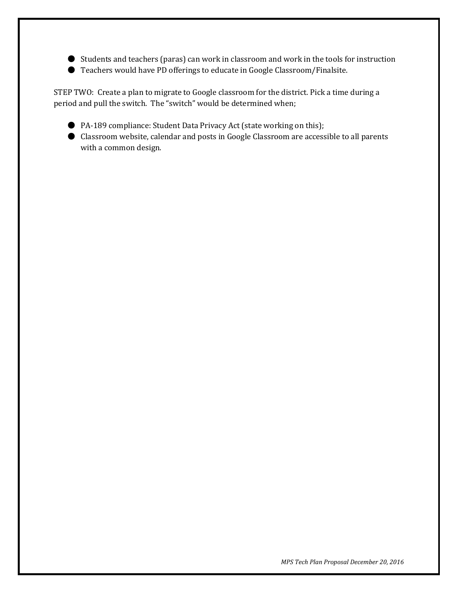- Students and teachers (paras) can work in classroom and work in the tools for instruction
- Teachers would have PD offerings to educate in Google Classroom/Finalsite.

STEP TWO: Create a plan to migrate to Google classroom for the district. Pick a time during a period and pull the switch. The "switch" would be determined when;

- PA-189 compliance: Student Data Privacy Act (state working on this);
- Classroom website, calendar and posts in Google Classroom are accessible to all parents with a common design.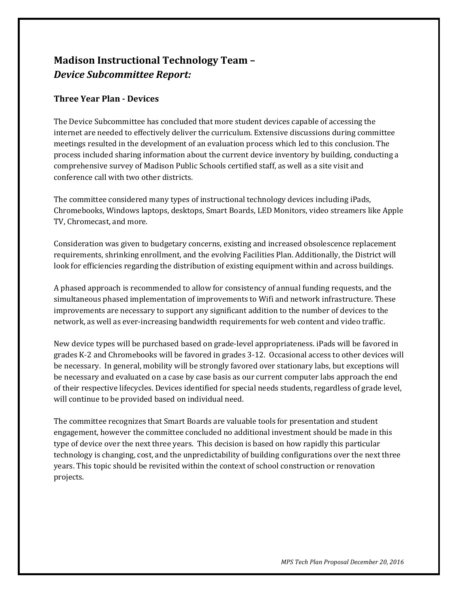# **Madison Instructional Technology Team –** *Device Subcommittee Report:*

#### **Three Year Plan - Devices**

The Device Subcommittee has concluded that more student devices capable of accessing the internet are needed to effectively deliver the curriculum. Extensive discussions during committee meetings resulted in the development of an evaluation process which led to this conclusion. The process included sharing information about the current device inventory by building, conducting a comprehensive survey of Madison Public Schools certified staff, as well as a site visit and conference call with two other districts.

The committee considered many types of instructional technology devices including iPads, Chromebooks, Windows laptops, desktops, Smart Boards, LED Monitors, video streamers like Apple TV, Chromecast, and more.

Consideration was given to budgetary concerns, existing and increased obsolescence replacement requirements, shrinking enrollment, and the evolving Facilities Plan. Additionally, the District will look for efficiencies regarding the distribution of existing equipment within and across buildings.

A phased approach is recommended to allow for consistency of annual funding requests, and the simultaneous phased implementation of improvements to Wifi and network infrastructure. These improvements are necessary to support any significant addition to the number of devices to the network, as well as ever-increasing bandwidth requirements for web content and video traffic.

New device types will be purchased based on grade-level appropriateness. iPads will be favored in grades K-2 and Chromebooks will be favored in grades 3-12. Occasional access to other devices will be necessary. In general, mobility will be strongly favored over stationary labs, but exceptions will be necessary and evaluated on a case by case basis as our current computer labs approach the end of their respective lifecycles. Devices identified for special needs students, regardless of grade level, will continue to be provided based on individual need.

The committee recognizes that Smart Boards are valuable tools for presentation and student engagement, however the committee concluded no additional investment should be made in this type of device over the next three years. This decision is based on how rapidly this particular technology is changing, cost, and the unpredictability of building configurations over the next three years. This topic should be revisited within the context of school construction or renovation projects.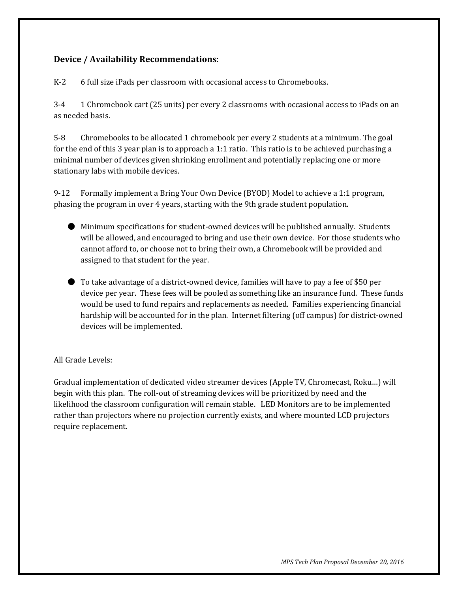#### **Device / Availability Recommendations**:

K-2 6 full size iPads per classroom with occasional access to Chromebooks.

3-4 1 Chromebook cart (25 units) per every 2 classrooms with occasional access to iPads on an as needed basis.

5-8 Chromebooks to be allocated 1 chromebook per every 2 students at a minimum. The goal for the end of this 3 year plan is to approach a 1:1 ratio. This ratio is to be achieved purchasing a minimal number of devices given shrinking enrollment and potentially replacing one or more stationary labs with mobile devices.

9-12 Formally implement a Bring Your Own Device (BYOD) Model to achieve a 1:1 program, phasing the program in over 4 years, starting with the 9th grade student population.

- Minimum specifications for student-owned devices will be published annually. Students will be allowed, and encouraged to bring and use their own device. For those students who cannot afford to, or choose not to bring their own, a Chromebook will be provided and assigned to that student for the year.
- To take advantage of a district-owned device, families will have to pay a fee of \$50 per device per year. These fees will be pooled as something like an insurance fund. These funds would be used to fund repairs and replacements as needed. Families experiencing financial hardship will be accounted for in the plan. Internet filtering (off campus) for district-owned devices will be implemented.

#### All Grade Levels:

Gradual implementation of dedicated video streamer devices (Apple TV, Chromecast, Roku…) will begin with this plan. The roll-out of streaming devices will be prioritized by need and the likelihood the classroom configuration will remain stable. LED Monitors are to be implemented rather than projectors where no projection currently exists, and where mounted LCD projectors require replacement.